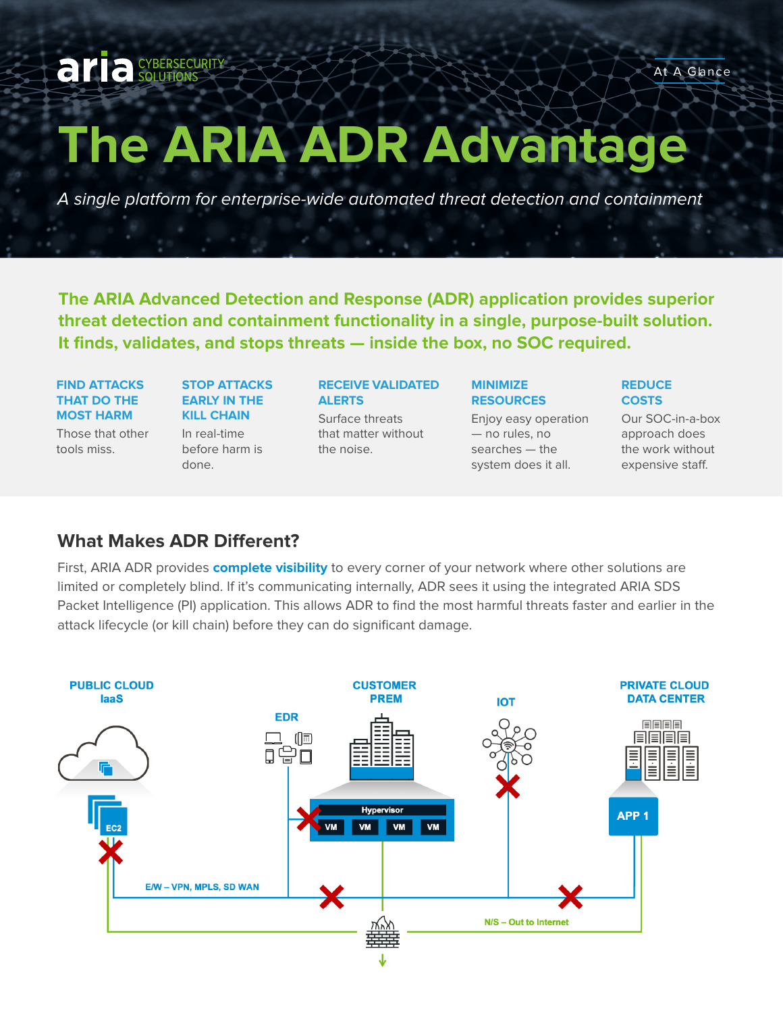# **The ARIA ADR Advantage**

A single platform for enterprise-wide automated threat detection and containment

**The ARIA Advanced Detection and Response (ADR) application provides superior threat detection and containment functionality in a single, purpose-built solution. It finds, validates, and stops threats — inside the box, no SOC required.**

#### **FIND ATTACKS THAT DO THE MOST HARM**

aria CYBERSECURITY

Those that other tools miss.

## **STOP ATTACKS EARLY IN THE KILL CHAIN**  In real-time

before harm is done.

## **RECEIVE VALIDATED ALERTS**

Surface threats that matter without the noise.

#### **MINIMIZE RESOURCES**

Enjoy easy operation — no rules, no searches — the system does it all.

#### **REDUCE COSTS**

Our SOC-in-a-box approach does the work without expensive staff.

## **What Makes ADR Different?**

First, ARIA ADR provides **complete visibility** to every corner of your network where other solutions are limited or completely blind. If it's communicating internally, ADR sees it using the integrated ARIA SDS Packet Intelligence (PI) application. This allows ADR to find the most harmful threats faster and earlier in the attack lifecycle (or kill chain) before they can do significant damage.

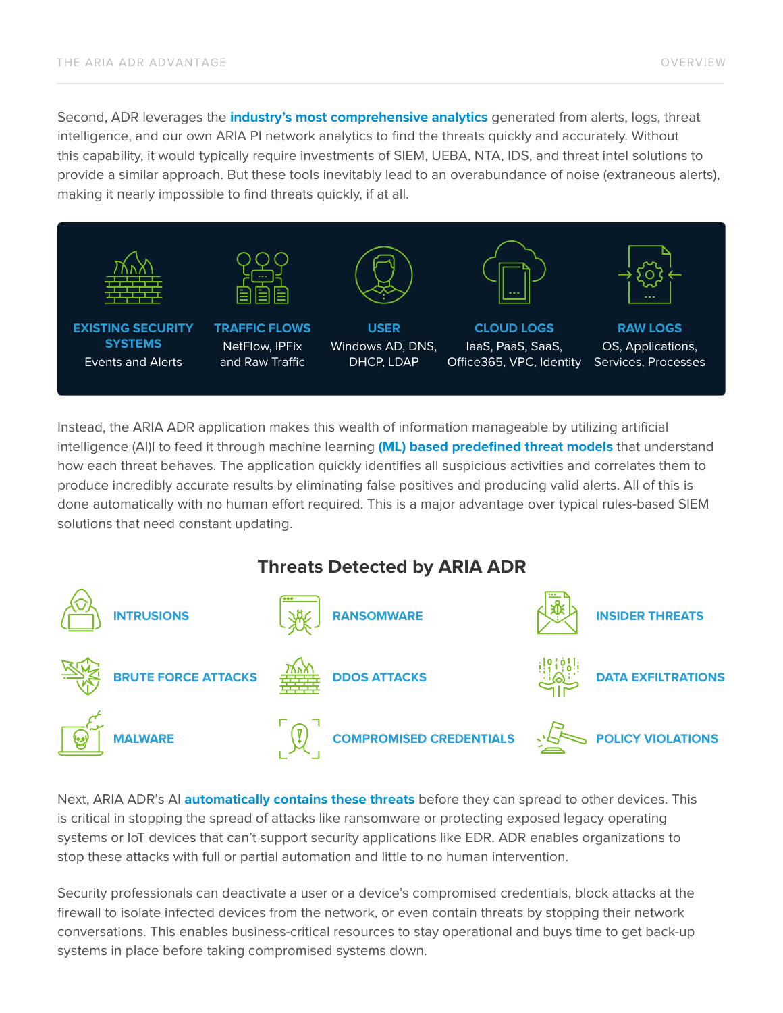Second, ADR leverages the **industry's most comprehensive analytics** generated from alerts, logs, threat intelligence, and our own ARIA PI network analytics to find the threats quickly and accurately. Without this capability, it would typically require investments of SIEM, UEBA, NTA, IDS, and threat intel solutions to provide a similar approach. But these tools inevitably lead to an overabundance of noise (extraneous alerts), making it nearly impossible to find threats quickly, if at all.



Instead, the ARIA ADR application makes this wealth of information manageable by utilizing artificial intelligence (AI)I to feed it through machine learning **(ML) based predefined threat models** that understand how each threat behaves. The application quickly identifies all suspicious activities and correlates them to produce incredibly accurate results by eliminating false positives and producing valid alerts. All of this is done automatically with no human effort required. This is a major advantage over typical rules-based SIEM solutions that need constant updating.

# **Threats Detected by ARIA ADR**



Next, ARIA ADR's AI **automatically contains these threats** before they can spread to other devices. This is critical in stopping the spread of attacks like ransomware or protecting exposed legacy operating systems or IoT devices that can't support security applications like EDR. ADR enables organizations to stop these attacks with full or partial automation and little to no human intervention.

Security professionals can deactivate a user or a device's compromised credentials, block attacks at the firewall to isolate infected devices from the network, or even contain threats by stopping their network conversations. This enables business-critical resources to stay operational and buys time to get back-up systems in place before taking compromised systems down.